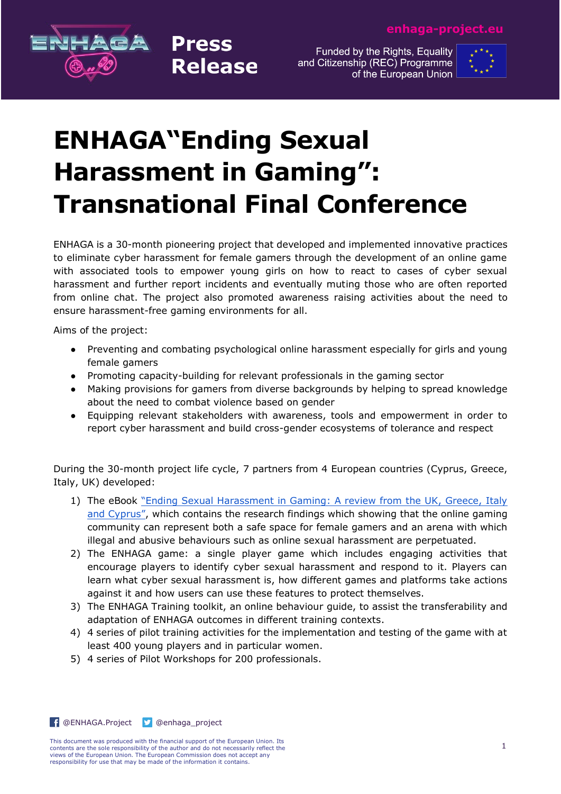

Funded by the Rights, Equality and Citizenship (REC) Programme of the European Union



## **ENHAGA"Ending Sexual Harassment in Gaming": Transnational Final Conference**

**Press** 

**Release** 

ENHAGA is a 30-month pioneering project that developed and implemented innovative practices to eliminate cyber harassment for female gamers through the development of an online game with associated tools to empower young girls on how to react to cases of cyber sexual harassment and further report incidents and eventually muting those who are often reported from online chat. The project also promoted awareness raising activities about the need to ensure harassment-free gaming environments for all.

Aims of the project:

- Preventing and combating psychological online harassment especially for girls and young female gamers
- Promoting capacity-building for relevant professionals in the gaming sector
- Making provisions for gamers from diverse backgrounds by helping to spread knowledge about the need to combat violence based on gender
- Equipping relevant stakeholders with awareness, tools and empowerment in order to report cyber harassment and build cross-gender ecosystems of tolerance and respect

During the 30-month project life cycle, 7 partners from 4 European countries (Cyprus, Greece, Italy, UK) developed:

- 1) The eBook ["Ending Sexual Harassment in Gaming: A review from the UK, Greece, Italy](https://www.amazon.com/Ending-Sexual-Harassment-Gaming-review-ebook/dp/B093Z2DD3Z)  [and Cyprus"](https://www.amazon.com/Ending-Sexual-Harassment-Gaming-review-ebook/dp/B093Z2DD3Z), which contains the research findings which showing that the online gaming community can represent both a safe space for female gamers and an arena with which illegal and abusive behaviours such as online sexual harassment are perpetuated.
- 2) The ENHAGA game: a single player game which includes engaging activities that encourage players to identify cyber sexual harassment and respond to it. Players can learn what cyber sexual harassment is, how different games and platforms take actions against it and how users can use these features to protect themselves.
- 3) The ENHAGA Training toolkit, an online behaviour guide, to assist the transferability and adaptation of ENHAGA outcomes in different training contexts.
- 4) 4 series of pilot training activities for the implementation and testing of the game with at least 400 young players and in particular women.
- 5) 4 series of Pilot Workshops for 200 professionals.

**f** [@ENHAGA.Project](https://www.facebook.com/ENHAGA.Project) **D** [@enhaga\\_project](https://twitter.com/enhaga_project)

This document was produced with the financial support of the European Union. Its contents are the sole responsibility of the author and do not necessarily reflect the views of the European Union. The European Commission does not accept any responsibility for use that may be made of the information it contains.